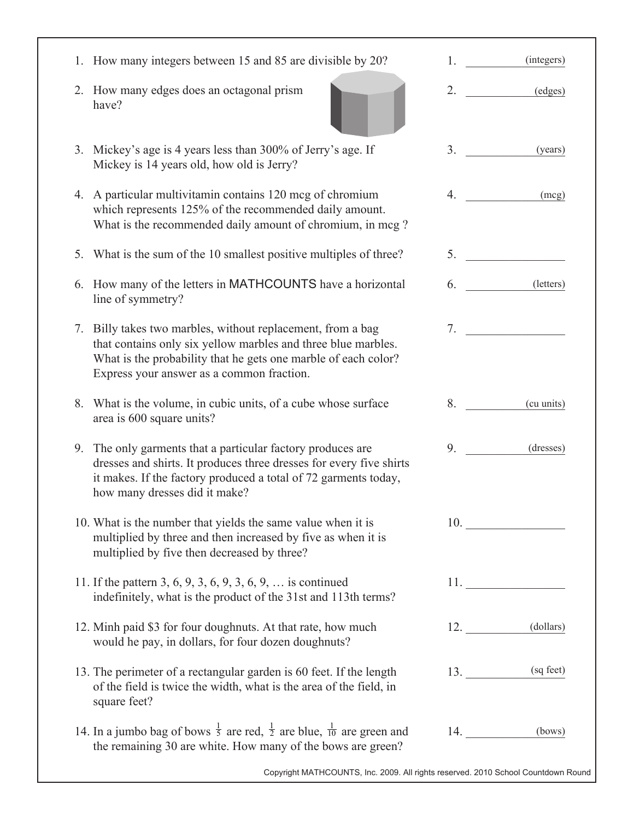| How many integers between 15 and 85 are divisible by 20?<br>1.                                                                                                                                                                                 | (integers)       |
|------------------------------------------------------------------------------------------------------------------------------------------------------------------------------------------------------------------------------------------------|------------------|
| How many edges does an octagonal prism<br>2.<br>have?                                                                                                                                                                                          | 2.<br>(edges)    |
| Mickey's age is 4 years less than 300% of Jerry's age. If<br>3.<br>Mickey is 14 years old, how old is Jerry?                                                                                                                                   | 3.<br>(years)    |
| 4. A particular multivitamin contains 120 mcg of chromium<br>which represents 125% of the recommended daily amount.<br>What is the recommended daily amount of chromium, in mcg?                                                               | 4.<br>(mcg)      |
| What is the sum of the 10 smallest positive multiples of three?<br>5.                                                                                                                                                                          |                  |
| How many of the letters in MATHCOUNTS have a horizontal<br>6.<br>line of symmetry?                                                                                                                                                             | (letters)<br>6.  |
| Billy takes two marbles, without replacement, from a bag<br>7.<br>that contains only six yellow marbles and three blue marbles.<br>What is the probability that he gets one marble of each color?<br>Express your answer as a common fraction. | 7.               |
| What is the volume, in cubic units, of a cube whose surface<br>8.<br>area is 600 square units?                                                                                                                                                 | 8.<br>(cu units) |
| The only garments that a particular factory produces are<br>9.<br>dresses and shirts. It produces three dresses for every five shirts<br>it makes. If the factory produced a total of 72 garments today,<br>how many dresses did it make?      | 9.<br>(dresses)  |
| 10. What is the number that yields the same value when it is<br>multiplied by three and then increased by five as when it is<br>multiplied by five then decreased by three?                                                                    |                  |
| 11. If the pattern 3, 6, 9, 3, 6, 9, 3, 6, 9,  is continued<br>indefinitely, what is the product of the 31st and 113th terms?                                                                                                                  |                  |
| 12. Minh paid \$3 for four doughnuts. At that rate, how much<br>would he pay, in dollars, for four dozen doughnuts?                                                                                                                            | 12. (dollars)    |
| 13. The perimeter of a rectangular garden is 60 feet. If the length<br>of the field is twice the width, what is the area of the field, in<br>square feet?                                                                                      | (sq feet)<br>13. |
| 14. In a jumbo bag of bows $\frac{1}{5}$ are red, $\frac{1}{2}$ are blue, $\frac{1}{10}$ are green and<br>the remaining 30 are white. How many of the bows are green?                                                                          | $14.$ (bows)     |

Copyright MATHCOUNTS, Inc. 2009. All rights reserved. 2010 School Countdown Round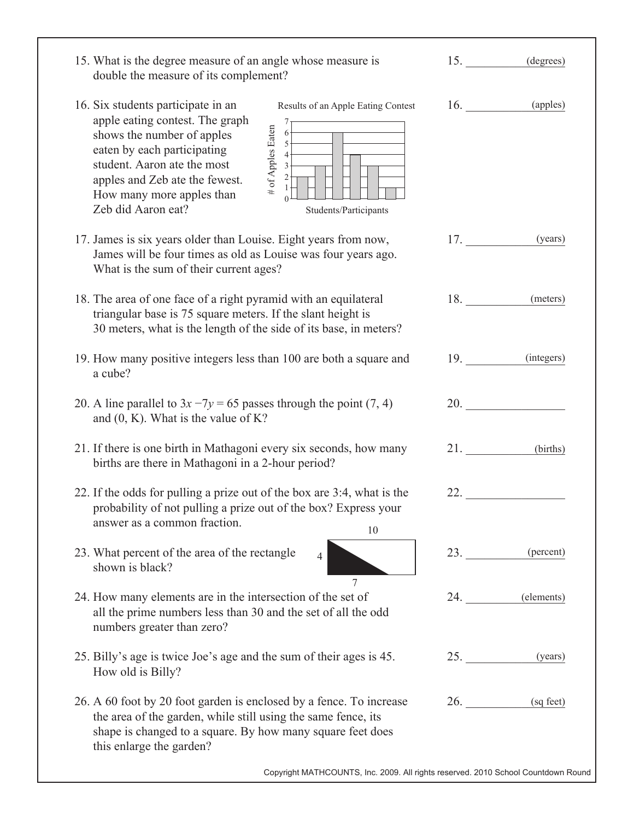| 15. What is the degree measure of an angle whose measure is<br>double the measure of its complement?                                                                                                                                                                                                                                                                                        |                                                                                                                                                                                                                                     | 15. (degrees)          |
|---------------------------------------------------------------------------------------------------------------------------------------------------------------------------------------------------------------------------------------------------------------------------------------------------------------------------------------------------------------------------------------------|-------------------------------------------------------------------------------------------------------------------------------------------------------------------------------------------------------------------------------------|------------------------|
| 16. Six students participate in an<br>Results of an Apple Eating Contest<br>apple eating contest. The graph<br># of Apples Eaten<br>shows the number of apples<br>5<br>eaten by each participating<br>$\overline{4}$<br>student. Aaron ate the most<br>$3 -$<br>2<br>apples and Zeb ate the fewest.<br>How many more apples than<br>$\theta$<br>Zeb did Aaron eat?<br>Students/Participants | 16.                                                                                                                                                                                                                                 | (apples)               |
| 17. James is six years older than Louise. Eight years from now,<br>James will be four times as old as Louise was four years ago.<br>What is the sum of their current ages?                                                                                                                                                                                                                  | 17.                                                                                                                                                                                                                                 | (years)                |
| 18. The area of one face of a right pyramid with an equilateral<br>triangular base is 75 square meters. If the slant height is<br>30 meters, what is the length of the side of its base, in meters?                                                                                                                                                                                         | 18.                                                                                                                                                                                                                                 | (meters)               |
| 19. How many positive integers less than 100 are both a square and<br>a cube?                                                                                                                                                                                                                                                                                                               |                                                                                                                                                                                                                                     | 19. (integers)         |
| 20. A line parallel to $3x - 7y = 65$ passes through the point (7, 4)<br>and $(0, K)$ . What is the value of K?                                                                                                                                                                                                                                                                             |                                                                                                                                                                                                                                     | <b>20. CONSTRUCTER</b> |
| 21. If there is one birth in Mathagoni every six seconds, how many<br>births are there in Mathagoni in a 2-hour period?                                                                                                                                                                                                                                                                     | 21.                                                                                                                                                                                                                                 | (births)               |
| 22. If the odds for pulling a prize out of the box are 3:4, what is the<br>probability of not pulling a prize out of the box? Express your<br>answer as a common fraction.<br>10                                                                                                                                                                                                            | 22.                                                                                                                                                                                                                                 |                        |
| 23. What percent of the area of the rectangle<br>shown is black?                                                                                                                                                                                                                                                                                                                            | 23.                                                                                                                                                                                                                                 | (percent)              |
| 24. How many elements are in the intersection of the set of<br>all the prime numbers less than 30 and the set of all the odd<br>numbers greater than zero?                                                                                                                                                                                                                                  | 24.                                                                                                                                                                                                                                 | (elements)             |
| 25. Billy's age is twice Joe's age and the sum of their ages is 45.<br>How old is Billy?                                                                                                                                                                                                                                                                                                    | 25.                                                                                                                                                                                                                                 | (years)                |
| 26. A 60 foot by 20 foot garden is enclosed by a fence. To increase<br>the area of the garden, while still using the same fence, its<br>shape is changed to a square. By how many square feet does<br>this enlarge the garden?                                                                                                                                                              | <b>26.</b> The contract of the contract of the contract of the contract of the contract of the contract of the contract of the contract of the contract of the contract of the contract of the contract of the contract of the cont | (sq feet)              |
| Copyright MATHCOUNTS, Inc. 2009. All rights reserved. 2010 School Countdown Round                                                                                                                                                                                                                                                                                                           |                                                                                                                                                                                                                                     |                        |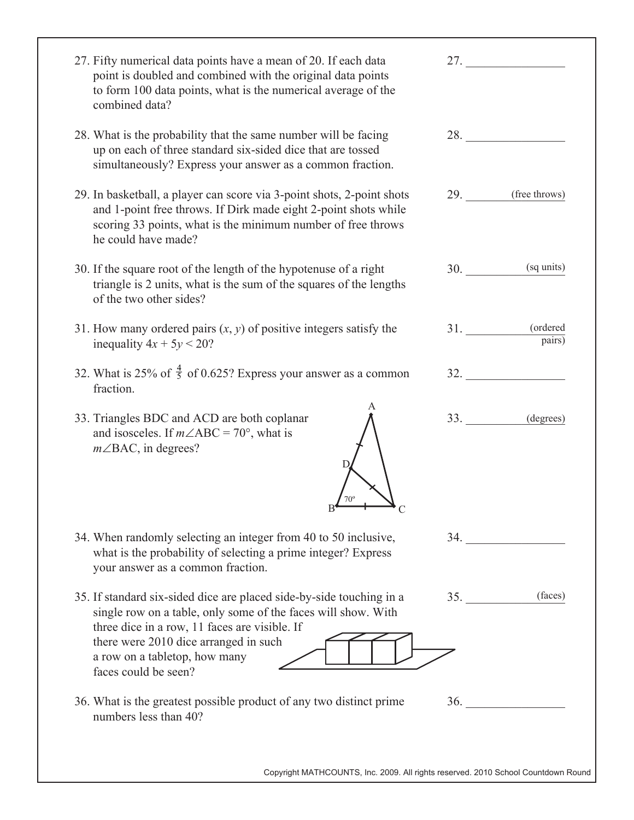| 27. Fifty numerical data points have a mean of 20. If each data<br>point is doubled and combined with the original data points<br>to form 100 data points, what is the numerical average of the<br>combined data?                |            | 27.                |
|----------------------------------------------------------------------------------------------------------------------------------------------------------------------------------------------------------------------------------|------------|--------------------|
| 28. What is the probability that the same number will be facing<br>up on each of three standard six-sided dice that are tossed<br>simultaneously? Express your answer as a common fraction.                                      |            | 28.                |
| 29. In basketball, a player can score via 3-point shots, 2-point shots<br>and 1-point free throws. If Dirk made eight 2-point shots while<br>scoring 33 points, what is the minimum number of free throws<br>he could have made? |            | 29. (free throws)  |
| 30. If the square root of the length of the hypotenuse of a right<br>triangle is 2 units, what is the sum of the squares of the lengths<br>of the two other sides?                                                               | 30.        | (sq units)         |
| 31. How many ordered pairs $(x, y)$ of positive integers satisfy the<br>inequality $4x + 5y < 20$ ?                                                                                                                              | <b>31.</b> | (ordered<br>pairs) |
| 32. What is 25% of $\frac{4}{5}$ of 0.625? Express your answer as a common<br>fraction.                                                                                                                                          |            | 32.                |
| 33. Triangles BDC and ACD are both coplanar<br>and isosceles. If $m\angle ABC = 70^{\circ}$ , what is<br>$m\angle$ BAC, in degrees?                                                                                              | 33.        | (degrees)          |
| 34. When randomly selecting an integer from 40 to 50 inclusive,<br>what is the probability of selecting a prime integer? Express<br>your answer as a common fraction.                                                            |            | 34.                |
| 35. If standard six-sided dice are placed side-by-side touching in a<br>single row on a table, only some of the faces will show. With<br>three dice in a row, 11 faces are visible. If                                           | 35.        | (faces)            |
| there were 2010 dice arranged in such<br>a row on a tabletop, how many                                                                                                                                                           |            |                    |
| faces could be seen?                                                                                                                                                                                                             |            |                    |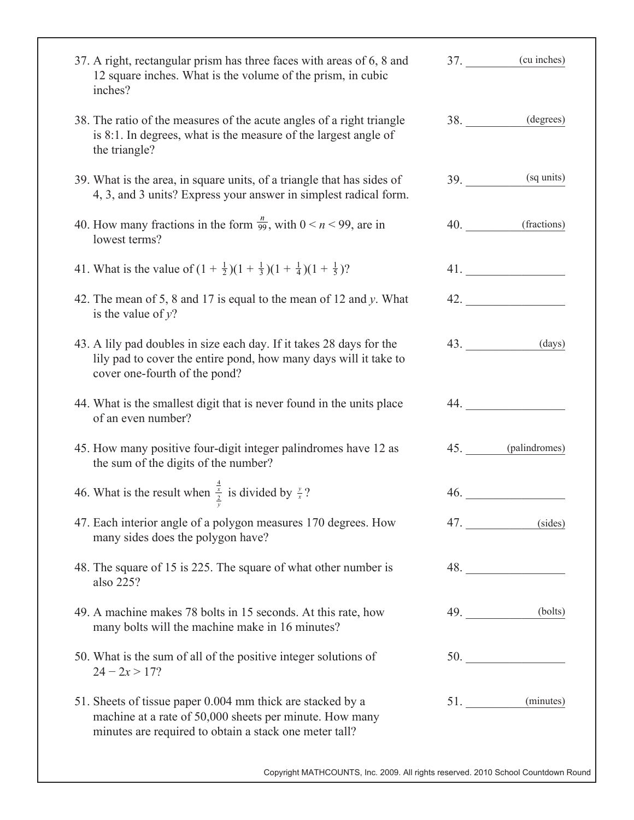| 37. A right, rectangular prism has three faces with areas of 6, 8 and<br>12 square inches. What is the volume of the prism, in cubic<br>inches?                                 |     | 37. (cu inches)   |
|---------------------------------------------------------------------------------------------------------------------------------------------------------------------------------|-----|-------------------|
| 38. The ratio of the measures of the acute angles of a right triangle<br>is 8:1. In degrees, what is the measure of the largest angle of<br>the triangle?                       |     | 38. (degrees)     |
| 39. What is the area, in square units, of a triangle that has sides of<br>4, 3, and 3 units? Express your answer in simplest radical form.                                      | 39. | (sq units)        |
| 40. How many fractions in the form $\frac{n}{99}$ , with $0 \le n \le 99$ , are in<br>lowest terms?                                                                             | 40. | (fractions)       |
| 41. What is the value of $(1 + \frac{1}{2})(1 + \frac{1}{3})(1 + \frac{1}{4})(1 + \frac{1}{5})$ ?                                                                               |     | 41.               |
| 42. The mean of 5, 8 and 17 is equal to the mean of 12 and y. What<br>is the value of $y$ ?                                                                                     |     | 42.               |
| 43. A lily pad doubles in size each day. If it takes 28 days for the<br>lily pad to cover the entire pond, how many days will it take to<br>cover one-fourth of the pond?       |     | 43.<br>(days)     |
| 44. What is the smallest digit that is never found in the units place<br>of an even number?                                                                                     |     | 44.               |
| 45. How many positive four-digit integer palindromes have 12 as<br>the sum of the digits of the number?                                                                         |     | 45. (palindromes) |
| 46. What is the result when $\frac{\frac{\pi}{2}}{2}$ is divided by $\frac{y}{x}$ ?                                                                                             |     | 46.               |
| 47. Each interior angle of a polygon measures 170 degrees. How<br>many sides does the polygon have?                                                                             |     | 47.<br>(sides)    |
| 48. The square of 15 is 225. The square of what other number is<br>also 225?                                                                                                    |     | 48.               |
| 49. A machine makes 78 bolts in 15 seconds. At this rate, how<br>many bolts will the machine make in 16 minutes?                                                                |     | 49.<br>(bolts)    |
| 50. What is the sum of all of the positive integer solutions of<br>$24 - 2x > 17?$                                                                                              |     |                   |
| 51. Sheets of tissue paper 0.004 mm thick are stacked by a<br>machine at a rate of 50,000 sheets per minute. How many<br>minutes are required to obtain a stack one meter tall? | 51. | (minutes)         |

Copyright MATHCOUNTS, Inc. 2009. All rights reserved. 2010 School Countdown Round